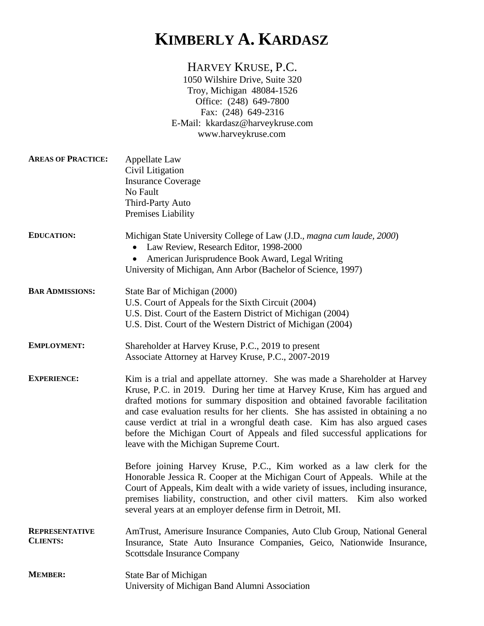## **KIMBERLY A. KARDASZ**

## HARVEY KRUSE, P.C.

1050 Wilshire Drive, Suite 320 Troy, Michigan 48084-1526 Office: (248) 649-7800 Fax: (248) 649-2316 E-Mail: kkardasz@harveykruse.com www.harveykruse.com

| <b>AREAS OF PRACTICE:</b>                | Appellate Law<br>Civil Litigation<br><b>Insurance Coverage</b><br>No Fault<br>Third-Party Auto<br>Premises Liability                                                                                                                                                                                                                                                                                                                                                                                                            |
|------------------------------------------|---------------------------------------------------------------------------------------------------------------------------------------------------------------------------------------------------------------------------------------------------------------------------------------------------------------------------------------------------------------------------------------------------------------------------------------------------------------------------------------------------------------------------------|
| <b>EDUCATION:</b>                        | Michigan State University College of Law (J.D., magna cum laude, 2000)<br>Law Review, Research Editor, 1998-2000<br>American Jurisprudence Book Award, Legal Writing<br>University of Michigan, Ann Arbor (Bachelor of Science, 1997)                                                                                                                                                                                                                                                                                           |
| <b>BAR ADMISSIONS:</b>                   | State Bar of Michigan (2000)<br>U.S. Court of Appeals for the Sixth Circuit (2004)<br>U.S. Dist. Court of the Eastern District of Michigan (2004)<br>U.S. Dist. Court of the Western District of Michigan (2004)                                                                                                                                                                                                                                                                                                                |
| <b>EMPLOYMENT:</b>                       | Shareholder at Harvey Kruse, P.C., 2019 to present<br>Associate Attorney at Harvey Kruse, P.C., 2007-2019                                                                                                                                                                                                                                                                                                                                                                                                                       |
| <b>EXPERIENCE:</b>                       | Kim is a trial and appellate attorney. She was made a Shareholder at Harvey<br>Kruse, P.C. in 2019. During her time at Harvey Kruse, Kim has argued and<br>drafted motions for summary disposition and obtained favorable facilitation<br>and case evaluation results for her clients. She has assisted in obtaining a no<br>cause verdict at trial in a wrongful death case. Kim has also argued cases<br>before the Michigan Court of Appeals and filed successful applications for<br>leave with the Michigan Supreme Court. |
|                                          | Before joining Harvey Kruse, P.C., Kim worked as a law clerk for the<br>Honorable Jessica R. Cooper at the Michigan Court of Appeals. While at the<br>Court of Appeals, Kim dealt with a wide variety of issues, including insurance,<br>premises liability, construction, and other civil matters. Kim also worked<br>several years at an employer defense firm in Detroit, MI.                                                                                                                                                |
| <b>REPRESENTATIVE</b><br><b>CLIENTS:</b> | AmTrust, Amerisure Insurance Companies, Auto Club Group, National General<br>Insurance, State Auto Insurance Companies, Geico, Nationwide Insurance,<br><b>Scottsdale Insurance Company</b>                                                                                                                                                                                                                                                                                                                                     |
| <b>MEMBER:</b>                           | State Bar of Michigan<br>University of Michigan Band Alumni Association                                                                                                                                                                                                                                                                                                                                                                                                                                                         |